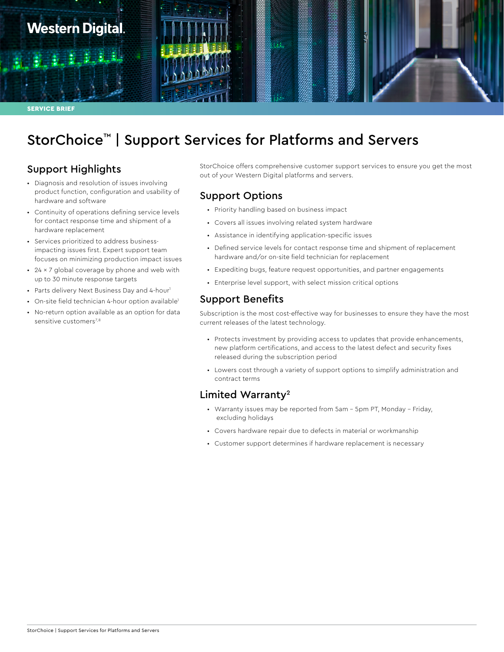

# StorChoice™ | Support Services for Platforms and Servers

# Support Highlights

- Diagnosis and resolution of issues involving product function, configuration and usability of hardware and software
- Continuity of operations defining service levels for contact response time and shipment of a hardware replacement
- Services prioritized to address businessimpacting issues first. Expert support team focuses on minimizing production impact issues
- $\cdot$  24  $\times$  7 global coverage by phone and web with up to 30 minute response targets
- Parts delivery Next Business Day and 4-hour<sup>1</sup>
- On-site field technician 4-hour option available<sup>1</sup>
- No-return option available as an option for data sensitive customers<sup>7,8</sup>

StorChoice offers comprehensive customer support services to ensure you get the most out of your Western Digital platforms and servers.

## Support Options

- Priority handling based on business impact
- Covers all issues involving related system hardware
- Assistance in identifying application-specific issues
- Defined service levels for contact response time and shipment of replacement hardware and/or on-site field technician for replacement
- Expediting bugs, feature request opportunities, and partner engagements
- Enterprise level support, with select mission critical options

#### Support Benefits

Subscription is the most cost-effective way for businesses to ensure they have the most current releases of the latest technology.

- Protects investment by providing access to updates that provide enhancements, new platform certifications, and access to the latest defect and security fixes released during the subscription period
- Lowers cost through a variety of support options to simplify administration and contract terms

#### Limited Warranty2

- Warranty issues may be reported from 5am 5pm PT, Monday Friday, excluding holidays
- Covers hardware repair due to defects in material or workmanship
- Customer support determines if hardware replacement is necessary